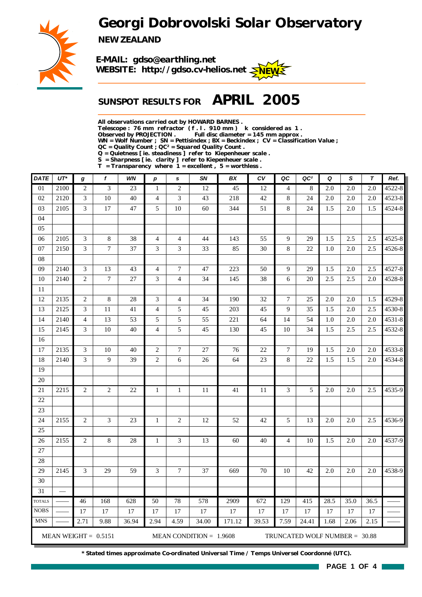*Georgi Dobrovolski Solar Observatory*



*NEW ZEALAND*

*E-MAIL: gdso@earthling.net* WEBSITE: http://gdso.cv-helios.net  $\leq$ NEW

## *SUNSPOT RESULTS FOR APRIL 2005*

*All observations carried out by HOWARD BARNES .*

*Telescope : 76 mm refractor ( f . l . 910 mm ) k considered as 1 .*

Full disc diameter = 145 mm approx .

*WN = Wolf Number ; SN = Pettisindex ; BX = Beckindex ; CV = Classification Value ;*

*QC = Quality Count ; QC² = Squared Quality Count .*

*Q = Quietness [ ie. steadiness ] refer to Kiepenheuer scale .*

*S = Sharpness [ ie. clarity ] refer to Kiepenheuer scale . T = Transparency where 1 = excellent , 5 = worthless .*

| <b>DATE</b>     | $UT^*$ | g              | $\mathbf f$            | WN              | $\boldsymbol{p}$ | s              | SN                        | BX     | cv     | QC             | QC <sup>2</sup>               | Q    | S    | $\tau$ | Ref.   |
|-----------------|--------|----------------|------------------------|-----------------|------------------|----------------|---------------------------|--------|--------|----------------|-------------------------------|------|------|--------|--------|
| $\overline{01}$ | 2100   | $\overline{2}$ | 3                      | $\overline{23}$ | 1                | $\overline{c}$ | 12                        | 45     | 12     | 4              | 8                             | 2.0  | 2.0  | 2.0    | 4522-8 |
| 02              | 2120   | 3              | 10                     | 40              | $\overline{4}$   | 3              | 43                        | 218    | 42     | 8              | 24                            | 2.0  | 2.0  | 2.0    | 4523-8 |
| 03              | 2105   | 3              | 17                     | 47              | 5                | $10\,$         | 60                        | 344    | 51     | 8              | 24                            | 1.5  | 2.0  | 1.5    | 4524-8 |
| 04              |        |                |                        |                 |                  |                |                           |        |        |                |                               |      |      |        |        |
| 05              |        |                |                        |                 |                  |                |                           |        |        |                |                               |      |      |        |        |
| 06              | 2105   | 3              | 8                      | 38              | $\overline{4}$   | $\overline{4}$ | 44                        | 143    | 55     | 9              | 29                            | 1.5  | 2.5  | 2.5    | 4525-8 |
| 07              | 2150   | 3              | $\tau$                 | 37              | 3                | 3              | 33                        | 85     | 30     | 8              | 22                            | 1.0  | 2.0  | 2.5    | 4526-8 |
| $08\,$          |        |                |                        |                 |                  |                |                           |        |        |                |                               |      |      |        |        |
| 09              | 2140   | 3              | 13                     | 43              | $\overline{4}$   | 7              | 47                        | 223    | 50     | 9              | 29                            | 1.5  | 2.0  | 2.5    | 4527-8 |
| 10              | 2140   | $\mathbf{2}$   | $\tau$                 | 27              | 3                | $\overline{4}$ | 34                        | 145    | 38     | 6              | 20                            | 2.5  | 2.5  | 2.0    | 4528-8 |
| 11              |        |                |                        |                 |                  |                |                           |        |        |                |                               |      |      |        |        |
| 12              | 2135   | 2              | 8                      | 28              | 3                | $\overline{4}$ | 34                        | 190    | 32     | $\overline{7}$ | 25                            | 2.0  | 2.0  | 1.5    | 4529-8 |
| 13              | 2125   | 3              | 11                     | 41              | $\overline{4}$   | 5              | 45                        | 203    | 45     | 9              | 35                            | 1.5  | 2.0  | 2.5    | 4530-8 |
| 14              | 2140   | $\overline{4}$ | 13                     | 53              | 5                | 5              | 55                        | 221    | 64     | 14             | 54                            | 1.0  | 2.0  | 2.0    | 4531-8 |
| 15              | 2145   | 3              | 10                     | 40              | $\overline{4}$   | 5              | 45                        | 130    | 45     | 10             | 34                            | 1.5  | 2.5  | 2.5    | 4532-8 |
| 16              |        |                |                        |                 |                  |                |                           |        |        |                |                               |      |      |        |        |
| 17              | 2135   | 3              | 10                     | 40              | $\mathfrak{2}$   | 7              | 27                        | 76     | $22\,$ | $\tau$         | 19                            | 1.5  | 2.0  | 2.0    | 4533-8 |
| 18              | 2140   | 3              | 9                      | 39              | $\overline{c}$   | 6              | 26                        | 64     | 23     | $\bf 8$        | 22                            | 1.5  | 1.5  | 2.0    | 4534-8 |
| 19              |        |                |                        |                 |                  |                |                           |        |        |                |                               |      |      |        |        |
| 20              |        |                |                        |                 |                  |                |                           |        |        |                |                               |      |      |        |        |
| $21\,$          | 2215   | $\mathfrak{2}$ | $\mathfrak{2}$         | 22              | $\mathbf{1}$     | $\mathbf{1}$   | 11                        | 41     | 11     | 3              | 5                             | 2.0  | 2.0  | 2.5    | 4535-9 |
| 22              |        |                |                        |                 |                  |                |                           |        |        |                |                               |      |      |        |        |
| 23              |        |                |                        |                 |                  |                |                           |        |        |                |                               |      |      |        |        |
| 24              | 2155   | 2              | 3                      | 23              | $\mathbf{1}$     | 2              | 12                        | 52     | 42     | 5              | 13                            | 2.0  | 2.0  | 2.5    | 4536-9 |
| 25              |        |                |                        |                 |                  |                |                           |        |        |                |                               |      |      |        |        |
| 26              | 2155   | $\mathfrak{2}$ | $\,$ 8 $\,$            | 28              | 1                | 3              | 13                        | 60     | 40     | 4              | 10                            | 1.5  | 2.0  | 2.0    | 4537-9 |
| $27\,$          |        |                |                        |                 |                  |                |                           |        |        |                |                               |      |      |        |        |
| 28              |        |                |                        |                 |                  |                |                           |        |        |                |                               |      |      |        |        |
| 29              | 2145   | 3              | 29                     | 59              | 3                | 7              | 37                        | 669    | 70     | 10             | 42                            | 2.0  | 2.0  | 2.0    | 4538-9 |
| 30              |        |                |                        |                 |                  |                |                           |        |        |                |                               |      |      |        |        |
| 31              |        |                |                        |                 |                  |                |                           |        |        |                |                               |      |      |        |        |
| <b>TOTALS</b>   |        | 46             | 168                    | 628             | 50               | 78             | 578                       | 2909   | 672    | 129            | 415                           | 28.5 | 35.0 | 36.5   |        |
| $\rm{NOBS}$     |        | 17             | 17                     | 17              | 17               | 17             | 17                        | 17     | 17     | 17             | 17                            | 17   | 17   | 17     |        |
| <b>MNS</b>      |        | 2.71           | 9.88                   | 36.94           | 2.94             | 4.59           | 34.00                     | 171.12 | 39.53  | 7.59           | 24.41                         | 1.68 | 2.06 | 2.15   |        |
|                 |        |                | MEAN WEIGHT = $0.5151$ |                 |                  |                | MEAN CONDITION = $1.9608$ |        |        |                | TRUNCATED WOLF NUMBER = 30.88 |      |      |        |        |

*\* Stated times approximate Co-ordinated Universal Time / Temps Universel Coordonné (UTC).*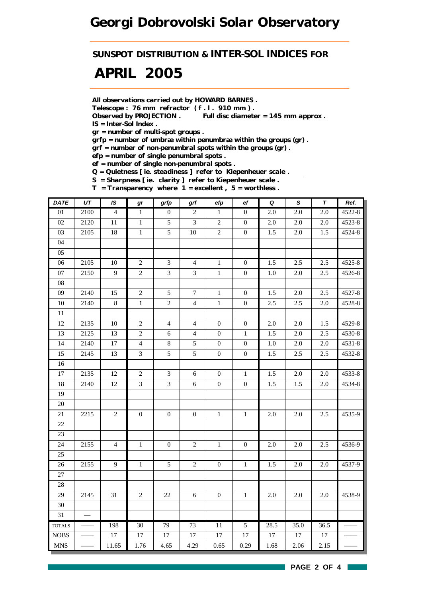*SUNSPOT DISTRIBUTION & INTER-SOL INDICES FOR*

# *APRIL 2005*

*All observations carried out by HOWARD BARNES .*

*Telescope : 76 mm refractor ( f . l . 910 mm ) .*

*Observed by PROJECTION . Full disc diameter = 145 mm approx . IS = Inter-Sol Index .*

*gr = number of multi-spot groups .*

*grfp = number of umbræ within penumbræ within the groups (gr) .*

*grf = number of non-penumbral spots within the groups (gr) .*

*efp = number of single penumbral spots .*

*ef = number of single non-penumbral spots .*

*Q = Quietness [ ie. steadiness ] refer to Kiepenheuer scale .*

*S = Sharpness [ ie. clarity ] refer to Kiepenheuer scale . T = Transparency where 1 = excellent , 5 = worthless .*

| <b>DATE</b>                   | $\overline{UT}$ | IS             | gr               | grfp             | grf              | efp              | $_{\rm ef}$      | $\pmb Q$ | $\overline{s}$ | $\overline{\tau}$ | Ref.   |
|-------------------------------|-----------------|----------------|------------------|------------------|------------------|------------------|------------------|----------|----------------|-------------------|--------|
| $01\,$                        | 2100            | $\overline{4}$ | $\mathbf{1}$     | $\mathbf{0}$     | $\overline{c}$   | $\mathbf{1}$     | $\boldsymbol{0}$ | $2.0\,$  | 2.0            | $2.0\,$           | 4522-8 |
| 02                            | 2120            | $11\,$         | $\mathbf{1}$     | 5                | 3                | $\sqrt{2}$       | $\mathbf{0}$     | $2.0\,$  | 2.0            | $2.0\,$           | 4523-8 |
| 03                            | 2105            | 18             | $\mathbf{1}$     | 5                | $10\,$           | $\sqrt{2}$       | $\mathbf{0}$     | 1.5      | 2.0            | $1.5\,$           | 4524-8 |
| 04                            |                 |                |                  |                  |                  |                  |                  |          |                |                   |        |
| 05                            |                 |                |                  |                  |                  |                  |                  |          |                |                   |        |
| 06                            | 2105            | $10\,$         | $\overline{2}$   | $\mathfrak{Z}$   | $\overline{4}$   | $1\,$            | $\mathbf{0}$     | 1.5      | 2.5            | 2.5               | 4525-8 |
| $07\,$                        | 2150            | $\overline{9}$ | $\overline{c}$   | $\mathfrak{Z}$   | $\mathfrak{Z}$   | $\,1$            | $\boldsymbol{0}$ | $1.0\,$  | 2.0            | 2.5               | 4526-8 |
| ${\bf 08}$                    |                 |                |                  |                  |                  |                  |                  |          |                |                   |        |
| 09                            | 2140            | 15             | $\overline{2}$   | 5                | $\overline{7}$   | $\mathbf{1}$     | $\boldsymbol{0}$ | 1.5      | $2.0\,$        | 2.5               | 4527-8 |
| $10\,$                        | 2140            | $8\,$          | $\,1$            | $\overline{c}$   | $\overline{4}$   | $\mathbf{1}$     | $\boldsymbol{0}$ | 2.5      | 2.5            | 2.0               | 4528-8 |
| $\overline{11}$               |                 |                |                  |                  |                  |                  |                  |          |                |                   |        |
| 12                            | 2135            | $10\,$         | $\overline{c}$   | $\overline{4}$   | $\overline{4}$   | $\boldsymbol{0}$ | $\boldsymbol{0}$ | 2.0      | 2.0            | 1.5               | 4529-8 |
| 13                            | 2125            | 13             | $\overline{c}$   | $6\,$            | $\overline{4}$   | $\boldsymbol{0}$ | $\mathbf{1}$     | 1.5      | $2.0\,$        | 2.5               | 4530-8 |
| 14                            | 2140            | 17             | $\overline{4}$   | $\,8\,$          | 5                | $\boldsymbol{0}$ | $\boldsymbol{0}$ | $1.0\,$  | 2.0            | $2.0\,$           | 4531-8 |
| 15                            | 2145            | 13             | $\mathfrak{Z}$   | $\sqrt{5}$       | 5                | $\boldsymbol{0}$ | $\boldsymbol{0}$ | 1.5      | 2.5            | 2.5               | 4532-8 |
| 16                            |                 |                |                  |                  |                  |                  |                  |          |                |                   |        |
| $17\,$                        | 2135            | 12             | $\overline{2}$   | $\mathfrak{Z}$   | $\sqrt{6}$       | $\boldsymbol{0}$ | $\mathbf 1$      | 1.5      | 2.0            | $2.0\,$           | 4533-8 |
| 18                            | 2140            | 12             | $\overline{3}$   | 3                | $6\,$            | $\boldsymbol{0}$ | $\boldsymbol{0}$ | 1.5      | 1.5            | 2.0               | 4534-8 |
| 19                            |                 |                |                  |                  |                  |                  |                  |          |                |                   |        |
| $20\,$                        |                 |                |                  |                  |                  |                  |                  |          |                |                   |        |
| $21\,$                        | 2215            | $\overline{c}$ | $\boldsymbol{0}$ | $\boldsymbol{0}$ | $\boldsymbol{0}$ | $1\,$            | $1\,$            | $2.0\,$  | 2.0            | $2.5\,$           | 4535-9 |
| 22                            |                 |                |                  |                  |                  |                  |                  |          |                |                   |        |
| 23                            |                 |                |                  |                  |                  |                  |                  |          |                |                   |        |
| 24                            | 2155            | $\overline{4}$ | $\,1\,$          | $\boldsymbol{0}$ | $\overline{c}$   | $\,1$            | $\overline{0}$   | $2.0\,$  | 2.0            | 2.5               | 4536-9 |
| 25                            |                 |                |                  |                  |                  |                  |                  |          |                |                   |        |
| 26                            | 2155            | $\overline{9}$ | $\mathbf{1}$     | 5                | $\overline{c}$   | $\boldsymbol{0}$ | $\mathbf{1}$     | 1.5      | 2.0            | 2.0               | 4537-9 |
| 27                            |                 |                |                  |                  |                  |                  |                  |          |                |                   |        |
| $28\,$                        |                 |                |                  |                  |                  |                  |                  |          |                |                   |        |
| 29                            | 2145            | 31             | $\overline{c}$   | $22\,$           | $\sqrt{6}$       | $\boldsymbol{0}$ | $1\,$            | $2.0\,$  | 2.0            | $2.0\,$           | 4538-9 |
| $30\,$                        |                 |                |                  |                  |                  |                  |                  |          |                |                   |        |
| 31                            | $\frac{1}{1}$   |                |                  |                  |                  |                  |                  |          |                |                   |        |
| <b>TOTALS</b>                 |                 | 198            | 30               | 79               | 73               | 11               | 5                | 28.5     | 35.0           | 36.5              |        |
| <b>NOBS</b>                   |                 | 17             | 17               | $17\,$           | 17               | 17               | 17               | 17       | 17             | $17\,$            |        |
| $\operatorname{\mathbf{MNS}}$ |                 | 11.65          | 1.76             | 4.65             | 4.29             | 0.65             | 0.29             | 1.68     | 2.06           | 2.15              |        |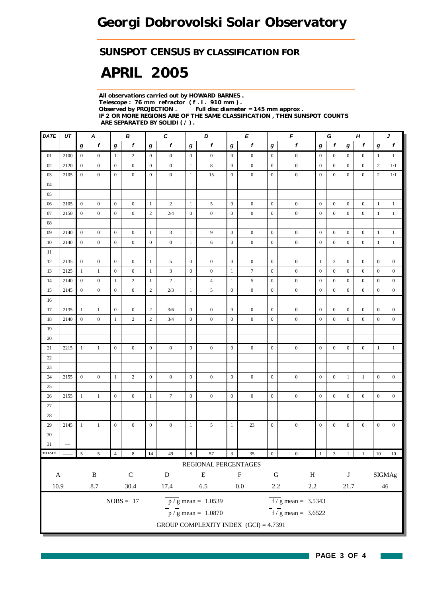## *SUNSPOT CENSUS BY CLASSIFICATION FOR*

# *APRIL 2005*

*All observations carried out by HOWARD BARNES . Telescope : 76 mm refractor ( f . l . 910 mm ) . Observed by PROJECTION . Full disc diameter = 145 mm approx . IF 2 OR MORE REGIONS ARE OF THE SAME CLASSIFICATION , THEN SUNSPOT COUNTS ARE SEPARATED BY SOLIDI ( / ) .*

| $\mathit{DATE}$ | UT                | C<br>D<br>Е<br>Α<br>В |                  |                  |                  |                  |                  |                  |                                         |                         |                  | F<br>Н<br>G<br>J |                                  |                  |                  |                  |                  |                  |                  |
|-----------------|-------------------|-----------------------|------------------|------------------|------------------|------------------|------------------|------------------|-----------------------------------------|-------------------------|------------------|------------------|----------------------------------|------------------|------------------|------------------|------------------|------------------|------------------|
|                 |                   | $\boldsymbol{g}$      | f                | g                | f                | g                | f                | g                | f                                       | g                       | f                | g                | f                                | g                | f                | g                | f                | g                | f                |
| 01              | 2100              | $\overline{0}$        | $\boldsymbol{0}$ | $\mathbf{1}$     | $\overline{c}$   | $\overline{0}$   | $\boldsymbol{0}$ | $\overline{0}$   | $\boldsymbol{0}$                        | $\boldsymbol{0}$        | $\boldsymbol{0}$ | $\boldsymbol{0}$ | $\boldsymbol{0}$                 | $\boldsymbol{0}$ | $\mathbf{0}$     | $\overline{0}$   | $\boldsymbol{0}$ | $\mathbf{1}$     | $\mathbf{1}$     |
| 02              | 2120              | $\boldsymbol{0}$      | $\mathbf{0}$     | $\boldsymbol{0}$ | $\mathbf{0}$     | $\mathbf{0}$     | $\boldsymbol{0}$ | -1               | 8                                       | $\boldsymbol{0}$        | $\boldsymbol{0}$ | $\boldsymbol{0}$ | $\boldsymbol{0}$                 | $\boldsymbol{0}$ | $\overline{0}$   | $\boldsymbol{0}$ | $\boldsymbol{0}$ | $\boldsymbol{2}$ | 1/1              |
| 03              | 2105              | $\boldsymbol{0}$      | $\mathbf{0}$     | $\boldsymbol{0}$ | $\mathbf{0}$     | $\mathbf{0}$     | $\boldsymbol{0}$ | -1               | 15                                      | $\boldsymbol{0}$        | $\boldsymbol{0}$ | $\boldsymbol{0}$ | $\boldsymbol{0}$                 | $\mathbf{0}$     | $\mathbf{0}$     | $\boldsymbol{0}$ | $\boldsymbol{0}$ | $\boldsymbol{2}$ | 1/1              |
| 04              |                   |                       |                  |                  |                  |                  |                  |                  |                                         |                         |                  |                  |                                  |                  |                  |                  |                  |                  |                  |
| 05              |                   |                       |                  |                  |                  |                  |                  |                  |                                         |                         |                  |                  |                                  |                  |                  |                  |                  |                  |                  |
| 06              | 2105              | $\mathbf{0}$          | $\mathbf{0}$     | $\mathbf{0}$     | $\boldsymbol{0}$ | $\mathbf{1}$     | $\overline{c}$   | $\mathbf{1}$     | 5                                       | $\mathbf{0}$            | $\boldsymbol{0}$ | $\mathbf{0}$     | $\boldsymbol{0}$                 | $\boldsymbol{0}$ | $\overline{0}$   | $\boldsymbol{0}$ | $\mathbf{0}$     | $\mathbf{1}$     | $\mathbf{1}$     |
| 07              | 2150              | $\boldsymbol{0}$      | $\boldsymbol{0}$ | $\boldsymbol{0}$ | $\mathbf{0}$     | $\sqrt{2}$       | $2/4$            | $\boldsymbol{0}$ | $\boldsymbol{0}$                        | $\boldsymbol{0}$        | $\boldsymbol{0}$ | $\boldsymbol{0}$ | $\boldsymbol{0}$                 | $\boldsymbol{0}$ | $\boldsymbol{0}$ | $\boldsymbol{0}$ | $\boldsymbol{0}$ | $\mathbf{1}$     | $\mathbf{1}$     |
| $08\,$          |                   |                       |                  |                  |                  |                  |                  |                  |                                         |                         |                  |                  |                                  |                  |                  |                  |                  |                  |                  |
| 09              | 2140              | $\overline{0}$        | $\boldsymbol{0}$ | $\boldsymbol{0}$ | $\boldsymbol{0}$ | $\mathbf{1}$     | 3                | $\mathbf{1}$     | 9                                       | $\mathbf{0}$            | $\boldsymbol{0}$ | $\boldsymbol{0}$ | $\boldsymbol{0}$                 | $\boldsymbol{0}$ | $\boldsymbol{0}$ | $\boldsymbol{0}$ | $\boldsymbol{0}$ | $\mathbf{1}$     | $\mathbf{1}$     |
| 10              | 2140              | $\mathbf{0}$          | $\mathbf{0}$     | $\mathbf{0}$     | $\mathbf{0}$     | $\mathbf{0}$     | $\boldsymbol{0}$ | $\mathbf{1}$     | 6                                       | $\boldsymbol{0}$        | $\boldsymbol{0}$ | $\mathbf{0}$     | $\boldsymbol{0}$                 | $\boldsymbol{0}$ | $\mathbf{0}$     | $\boldsymbol{0}$ | $\boldsymbol{0}$ | $\mathbf{1}$     | $\mathbf{1}$     |
| 11              |                   |                       |                  |                  |                  |                  |                  |                  |                                         |                         |                  |                  |                                  |                  |                  |                  |                  |                  |                  |
| 12              | 2135              | $\overline{0}$        | $\mathbf{0}$     | $\mathbf{0}$     | $\mathbf{0}$     | $\mathbf{1}$     | 5                | $\mathbf{0}$     | $\boldsymbol{0}$                        | $\mathbf{0}$            | $\boldsymbol{0}$ | $\mathbf{0}$     | $\boldsymbol{0}$                 | $\mathbf{1}$     | 3                | $\boldsymbol{0}$ | $\boldsymbol{0}$ | $\mathbf{0}$     | $\boldsymbol{0}$ |
| 13              | 2125              | $\mathbf{1}$          | $\,1$            | $\boldsymbol{0}$ | $\boldsymbol{0}$ | $\mathbf{1}$     | 3                | $\boldsymbol{0}$ | $\boldsymbol{0}$                        | $\mathbf{1}$            | $\boldsymbol{7}$ | $\boldsymbol{0}$ | $\boldsymbol{0}$                 | $\boldsymbol{0}$ | $\boldsymbol{0}$ | $\boldsymbol{0}$ | $\boldsymbol{0}$ | $\boldsymbol{0}$ | $\boldsymbol{0}$ |
| 14              | 2140              | $\mathbf{0}$          | $\mathbf{0}$     | $\mathbf{1}$     | $\mathbf{2}$     | $\mathbf{1}$     | $\sqrt{2}$       | $\mathbf{1}$     | $\overline{4}$                          | $\mathbf{1}$            | $\mathfrak s$    | $\mathbf{0}$     | $\boldsymbol{0}$                 | $\boldsymbol{0}$ | $\mathbf{0}$     | $\boldsymbol{0}$ | $\boldsymbol{0}$ | $\mathbf{0}$     | $\boldsymbol{0}$ |
| 15              | 2145              | $\boldsymbol{0}$      | $\mathbf{0}$     | $\mathbf{0}$     | $\mathbf{0}$     | $\overline{c}$   | 2/3              | 1                | 5                                       | $\boldsymbol{0}$        | $\boldsymbol{0}$ | $\mathbf{0}$     | $\boldsymbol{0}$                 | $\boldsymbol{0}$ | $\boldsymbol{0}$ | $\boldsymbol{0}$ | $\boldsymbol{0}$ | $\boldsymbol{0}$ | $\boldsymbol{0}$ |
| 16              |                   |                       |                  |                  |                  |                  |                  |                  |                                         |                         |                  |                  |                                  |                  |                  |                  |                  |                  |                  |
| 17              | 2135              | $\mathbf{1}$          | $\mathbf{1}$     | $\mathbf{0}$     | $\mathbf{0}$     | $\sqrt{2}$       | 3/6              | $\boldsymbol{0}$ | $\boldsymbol{0}$                        | $\mathbf{0}$            | $\boldsymbol{0}$ | $\boldsymbol{0}$ | $\boldsymbol{0}$                 | $\mathbf{0}$     | $\boldsymbol{0}$ | $\boldsymbol{0}$ | $\boldsymbol{0}$ | $\boldsymbol{0}$ | $\boldsymbol{0}$ |
| 18              | 2140              | $\boldsymbol{0}$      | $\mathbf{0}$     | 1                | 2                | $\sqrt{2}$       | 3/4              | $\mathbf{0}$     | $\boldsymbol{0}$                        | $\boldsymbol{0}$        | $\boldsymbol{0}$ | $\boldsymbol{0}$ | $\boldsymbol{0}$                 | $\mathbf{0}$     | $\boldsymbol{0}$ | $\boldsymbol{0}$ | $\boldsymbol{0}$ | $\boldsymbol{0}$ | $\boldsymbol{0}$ |
| 19              |                   |                       |                  |                  |                  |                  |                  |                  |                                         |                         |                  |                  |                                  |                  |                  |                  |                  |                  |                  |
| 20              |                   |                       |                  |                  |                  |                  |                  |                  |                                         |                         |                  |                  |                                  |                  |                  |                  |                  |                  |                  |
| 21              | 2215              | $\mathbf{1}$          | $1\,$            | $\mathbf{0}$     | $\overline{0}$   | $\overline{0}$   | $\boldsymbol{0}$ | $\boldsymbol{0}$ | $\mathbf{0}$                            | $\boldsymbol{0}$        | $\boldsymbol{0}$ | $\boldsymbol{0}$ | $\boldsymbol{0}$                 | $\boldsymbol{0}$ | $\boldsymbol{0}$ | $\boldsymbol{0}$ | $\mathbf{0}$     | $\mathbf{1}$     | $\mathbf{1}$     |
| 22              |                   |                       |                  |                  |                  |                  |                  |                  |                                         |                         |                  |                  |                                  |                  |                  |                  |                  |                  |                  |
| 23              |                   |                       |                  |                  |                  |                  |                  |                  |                                         |                         |                  |                  |                                  |                  |                  |                  |                  |                  |                  |
| 24              | 2155              | $\overline{0}$        | $\boldsymbol{0}$ | $\mathbf{1}$     | $\overline{c}$   | $\mathbf{0}$     | $\boldsymbol{0}$ | $\mathbf{0}$     | $\boldsymbol{0}$                        | $\overline{0}$          | $\boldsymbol{0}$ | $\boldsymbol{0}$ | $\boldsymbol{0}$                 | $\boldsymbol{0}$ | $\boldsymbol{0}$ | $\mathbf{1}$     | $\mathbf{1}$     | $\boldsymbol{0}$ | $\boldsymbol{0}$ |
| 25              |                   |                       |                  |                  |                  |                  |                  |                  |                                         |                         |                  |                  |                                  |                  |                  |                  |                  |                  |                  |
| 26              | 2155              | $\mathbf{1}$          | $\mathbf{1}$     | $\mathbf{0}$     | $\overline{0}$   | $\mathbf{1}$     | $\tau$           | $\boldsymbol{0}$ | $\mathbf{0}$                            | $\boldsymbol{0}$        | $\boldsymbol{0}$ | $\boldsymbol{0}$ | $\boldsymbol{0}$                 | $\mathbf{0}$     | $\overline{0}$   | $\mathbf{0}$     | $\boldsymbol{0}$ | $\boldsymbol{0}$ | $\boldsymbol{0}$ |
| 27              |                   |                       |                  |                  |                  |                  |                  |                  |                                         |                         |                  |                  |                                  |                  |                  |                  |                  |                  |                  |
| 28              |                   |                       |                  |                  |                  |                  |                  |                  |                                         |                         |                  |                  |                                  |                  |                  |                  |                  |                  |                  |
| 29              | 2145              | $\mathbf{1}$          | $\mathbf{1}$     | $\mathbf{0}$     | $\boldsymbol{0}$ | $\boldsymbol{0}$ | $\boldsymbol{0}$ | $\mathbf{1}$     | 5                                       | $\mathbf{1}$            | 23               | $\boldsymbol{0}$ | $\boldsymbol{0}$                 | $\boldsymbol{0}$ | $\boldsymbol{0}$ | $\boldsymbol{0}$ | $\boldsymbol{0}$ | $\boldsymbol{0}$ | $\boldsymbol{0}$ |
| 30              |                   |                       |                  |                  |                  |                  |                  |                  |                                         |                         |                  |                  |                                  |                  |                  |                  |                  |                  |                  |
| 31              | $\qquad \qquad -$ |                       |                  |                  |                  |                  |                  |                  |                                         |                         |                  |                  |                                  |                  |                  |                  |                  |                  |                  |
| <b>TOTALS</b>   |                   | $\sqrt{5}$            | $\sqrt{5}$       | $\overline{4}$   | $\,$ 8 $\,$      | 14               | 49               | $\,8\,$          | $57\,$                                  | $\overline{\mathbf{3}}$ | $35\,$           | $\boldsymbol{0}$ | $\boldsymbol{0}$                 | $\,1$            | $\sqrt{3}$       | $\mathbf{1}$     | $\,1\,$          | $10\,$           | $10\,$           |
|                 |                   |                       |                  |                  |                  |                  |                  |                  | REGIONAL PERCENTAGES                    |                         |                  |                  |                                  |                  |                  |                  |                  |                  |                  |
| $\mathbf A$     |                   |                       | $\, {\bf B}$     |                  | ${\bf C}$        |                  | ${\bf D}$        |                  | ${\bf E}$                               |                         | $\mathbf F$      | ${\bf G}$        | $\, {\rm H}$                     |                  |                  | $\bf J$          |                  |                  | <b>SIGMAg</b>    |
| 10.9            |                   |                       | $8.7\,$          |                  | 30.4             |                  | 17.4             |                  | 6.5                                     |                         | $0.0\,$          | $2.2\,$          | $2.2\,$                          |                  |                  | $21.7\,$         |                  |                  | $46\,$           |
|                 |                   |                       |                  |                  |                  |                  |                  |                  |                                         |                         |                  |                  |                                  |                  |                  |                  |                  |                  |                  |
|                 |                   |                       |                  |                  | $NOBS = 17$      |                  |                  |                  | $\overline{p}/g$ mean = 1.0539          |                         |                  |                  | $\overline{f}$ / g mean = 3.5343 |                  |                  |                  |                  |                  |                  |
|                 |                   |                       |                  |                  |                  |                  |                  |                  | $\frac{1}{p}$ / g mean = 1.0870         |                         |                  |                  | $f/g$ mean = 3.6522              |                  |                  |                  |                  |                  |                  |
|                 |                   |                       |                  |                  |                  |                  |                  |                  | GROUP COMPLEXITY INDEX $(GCI) = 4.7391$ |                         |                  |                  |                                  |                  |                  |                  |                  |                  |                  |

 $\sim 10$